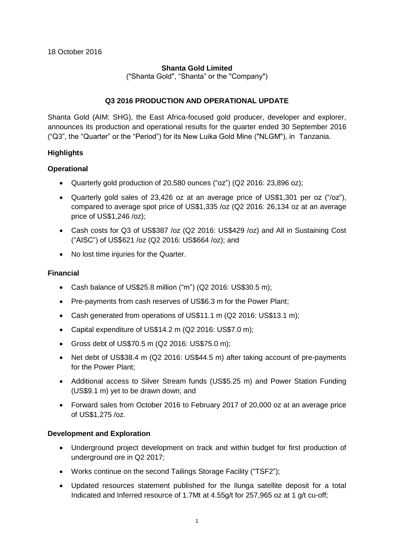# **Shanta Gold Limited**

("Shanta Gold", "Shanta" or the "Company")

## **Q3 2016 PRODUCTION AND OPERATIONAL UPDATE**

Shanta Gold (AIM: SHG), the East Africa-focused gold producer, developer and explorer, announces its production and operational results for the quarter ended 30 September 2016 ("Q3", the "Quarter" or the "Period") for its New Luika Gold Mine ("NLGM"), in Tanzania.

# **Highlights**

## **Operational**

- Quarterly gold production of 20,580 ounces ("oz") (Q2 2016: 23,896 oz);
- Quarterly gold sales of 23,426 oz at an average price of US\$1,301 per oz ("/oz"), compared to average spot price of US\$1,335 /oz (Q2 2016: 26,134 oz at an average price of US\$1,246 /oz);
- Cash costs for Q3 of US\$387 /oz (Q2 2016: US\$429 /oz) and All in Sustaining Cost ("AISC") of US\$621 /oz (Q2 2016: US\$664 /oz); and
- No lost time injuries for the Quarter.

## **Financial**

- Cash balance of US\$25.8 million ("m") (Q2 2016: US\$30.5 m);
- Pre-payments from cash reserves of US\$6.3 m for the Power Plant;
- Cash generated from operations of US\$11.1 m (Q2 2016: US\$13.1 m);
- Capital expenditure of US\$14.2 m (Q2 2016: US\$7.0 m);
- Gross debt of US\$70.5 m (Q2 2016: US\$75.0 m);
- Net debt of US\$38.4 m (Q2 2016: US\$44.5 m) after taking account of pre-payments for the Power Plant;
- Additional access to Silver Stream funds (US\$5.25 m) and Power Station Funding (US\$9.1 m) yet to be drawn down; and
- Forward sales from October 2016 to February 2017 of 20,000 oz at an average price of US\$1,275 /oz.

## **Development and Exploration**

- Underground project development on track and within budget for first production of underground ore in Q2 2017;
- Works continue on the second Tailings Storage Facility ("TSF2");
- Updated resources statement published for the Ilunga satellite deposit for a total Indicated and Inferred resource of 1.7Mt at 4.55g/t for 257,965 oz at 1 g/t cu-off;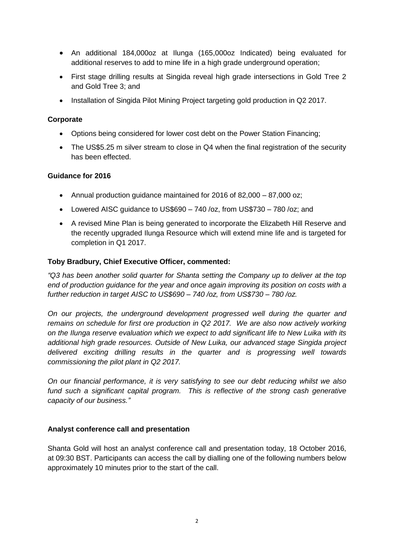- An additional 184,000oz at Ilunga (165,000oz Indicated) being evaluated for additional reserves to add to mine life in a high grade underground operation;
- First stage drilling results at Singida reveal high grade intersections in Gold Tree 2 and Gold Tree 3; and
- Installation of Singida Pilot Mining Project targeting gold production in Q2 2017.

## **Corporate**

- Options being considered for lower cost debt on the Power Station Financing;
- The US\$5.25 m silver stream to close in Q4 when the final registration of the security has been effected.

## **Guidance for 2016**

- Annual production guidance maintained for 2016 of 82,000 87,000 oz;
- Lowered AISC guidance to US\$690 740 /oz, from US\$730 780 /oz; and
- A revised Mine Plan is being generated to incorporate the Elizabeth Hill Reserve and the recently upgraded Ilunga Resource which will extend mine life and is targeted for completion in Q1 2017.

# **Toby Bradbury, Chief Executive Officer, commented:**

*"Q3 has been another solid quarter for Shanta setting the Company up to deliver at the top end of production guidance for the year and once again improving its position on costs with a further reduction in target AISC to US\$690 – 740 /oz, from US\$730 – 780 /oz.*

*On our projects, the underground development progressed well during the quarter and remains on schedule for first ore production in Q2 2017. We are also now actively working on the Ilunga reserve evaluation which we expect to add significant life to New Luika with its additional high grade resources. Outside of New Luika, our advanced stage Singida project delivered exciting drilling results in the quarter and is progressing well towards commissioning the pilot plant in Q2 2017.* 

*On our financial performance, it is very satisfying to see our debt reducing whilst we also*  fund such a significant capital program. This is reflective of the strong cash generative *capacity of our business."*

## **Analyst conference call and presentation**

Shanta Gold will host an analyst conference call and presentation today, 18 October 2016, at 09:30 BST. Participants can access the call by dialling one of the following numbers below approximately 10 minutes prior to the start of the call.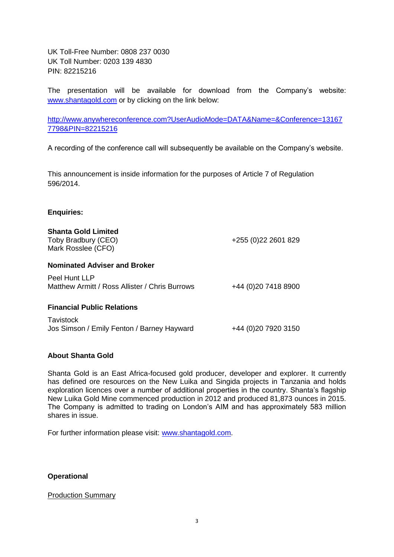UK Toll-Free Number: 0808 237 0030 UK Toll Number: 0203 139 4830 PIN: 82215216

The presentation will be available for download from the Company's website: [www.shantagold.com](http://www.shantagold.com/) or by clicking on the link below:

[http://www.anywhereconference.com?UserAudioMode=DATA&Name=&Conference=13167](http://www.anywhereconference.com/?UserAudioMode=DATA&Name=&Conference=131677798&PIN=82215216) [7798&PIN=82215216](http://www.anywhereconference.com/?UserAudioMode=DATA&Name=&Conference=131677798&PIN=82215216)

A recording of the conference call will subsequently be available on the Company's website.

This announcement is inside information for the purposes of Article 7 of Regulation 596/2014.

### **Enquiries:**

| <b>Shanta Gold Limited</b><br>Toby Bradbury (CEO)<br>Mark Rosslee (CFO) | +255 (0) 22 2601 829  |
|-------------------------------------------------------------------------|-----------------------|
| <b>Nominated Adviser and Broker</b>                                     |                       |
| Peel Hunt LLP<br>Matthew Armitt / Ross Allister / Chris Burrows         | +44 (0) 20 7418 8900  |
| <b>Financial Public Relations</b>                                       |                       |
| <b>Tavistock</b><br>Jos Simson / Emily Fenton / Barney Hayward          | +44 (0) 20 79 20 3150 |

## **About Shanta Gold**

Shanta Gold is an East Africa-focused gold producer, developer and explorer. It currently has defined ore resources on the New Luika and Singida projects in Tanzania and holds exploration licences over a number of additional properties in the country. Shanta's flagship New Luika Gold Mine commenced production in 2012 and produced 81,873 ounces in 2015. The Company is admitted to trading on London's AIM and has approximately 583 million shares in issue.

For further information please visit: [www.shantagold.com.](http://www.shantagold.com/)

# **Operational**

#### Production Summary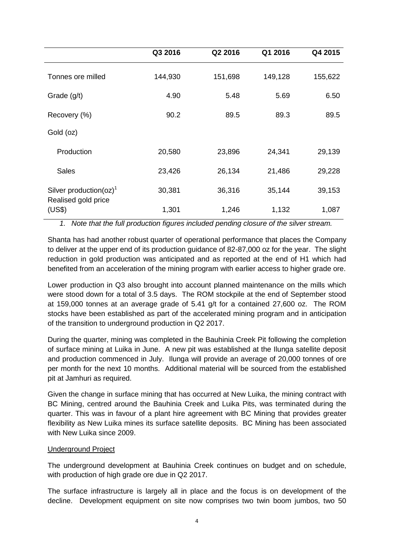|                                                                         | Q3 2016 | Q2 2016 | Q1 2016 | Q4 2015 |
|-------------------------------------------------------------------------|---------|---------|---------|---------|
| Tonnes ore milled                                                       | 144,930 | 151,698 | 149,128 | 155,622 |
| Grade (g/t)                                                             | 4.90    | 5.48    | 5.69    | 6.50    |
| Recovery (%)                                                            | 90.2    | 89.5    | 89.3    | 89.5    |
| Gold (oz)                                                               |         |         |         |         |
| Production                                                              | 20,580  | 23,896  | 24,341  | 29,139  |
| <b>Sales</b>                                                            | 23,426  | 26,134  | 21,486  | 29,228  |
| Silver production( $oz$ ) <sup>1</sup><br>Realised gold price<br>(US\$) | 30,381  | 36,316  | 35,144  | 39,153  |
|                                                                         | 1,301   | 1,246   | 1,132   | 1,087   |

*1. Note that the full production figures included pending closure of the silver stream.*

Shanta has had another robust quarter of operational performance that places the Company to deliver at the upper end of its production guidance of 82-87,000 oz for the year. The slight reduction in gold production was anticipated and as reported at the end of H1 which had benefited from an acceleration of the mining program with earlier access to higher grade ore.

Lower production in Q3 also brought into account planned maintenance on the mills which were stood down for a total of 3.5 days. The ROM stockpile at the end of September stood at 159,000 tonnes at an average grade of 5.41 g/t for a contained 27,600 oz. The ROM stocks have been established as part of the accelerated mining program and in anticipation of the transition to underground production in Q2 2017.

During the quarter, mining was completed in the Bauhinia Creek Pit following the completion of surface mining at Luika in June. A new pit was established at the Ilunga satellite deposit and production commenced in July. Ilunga will provide an average of 20,000 tonnes of ore per month for the next 10 months. Additional material will be sourced from the established pit at Jamhuri as required.

Given the change in surface mining that has occurred at New Luika, the mining contract with BC Mining, centred around the Bauhinia Creek and Luika Pits, was terminated during the quarter. This was in favour of a plant hire agreement with BC Mining that provides greater flexibility as New Luika mines its surface satellite deposits. BC Mining has been associated with New Luika since 2009.

## Underground Project

The underground development at Bauhinia Creek continues on budget and on schedule, with production of high grade ore due in Q2 2017.

The surface infrastructure is largely all in place and the focus is on development of the decline. Development equipment on site now comprises two twin boom jumbos, two 50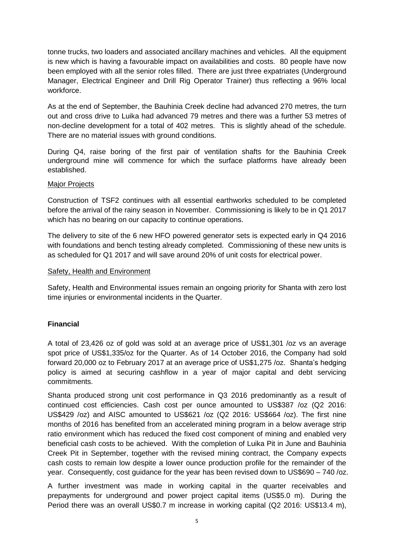tonne trucks, two loaders and associated ancillary machines and vehicles. All the equipment is new which is having a favourable impact on availabilities and costs. 80 people have now been employed with all the senior roles filled. There are just three expatriates (Underground Manager, Electrical Engineer and Drill Rig Operator Trainer) thus reflecting a 96% local workforce.

As at the end of September, the Bauhinia Creek decline had advanced 270 metres, the turn out and cross drive to Luika had advanced 79 metres and there was a further 53 metres of non-decline development for a total of 402 metres. This is slightly ahead of the schedule. There are no material issues with ground conditions.

During Q4, raise boring of the first pair of ventilation shafts for the Bauhinia Creek underground mine will commence for which the surface platforms have already been established.

### Major Projects

Construction of TSF2 continues with all essential earthworks scheduled to be completed before the arrival of the rainy season in November. Commissioning is likely to be in Q1 2017 which has no bearing on our capacity to continue operations.

The delivery to site of the 6 new HFO powered generator sets is expected early in Q4 2016 with foundations and bench testing already completed. Commissioning of these new units is as scheduled for Q1 2017 and will save around 20% of unit costs for electrical power.

### Safety, Health and Environment

Safety, Health and Environmental issues remain an ongoing priority for Shanta with zero lost time injuries or environmental incidents in the Quarter.

## **Financial**

A total of 23,426 oz of gold was sold at an average price of US\$1,301 /oz vs an average spot price of US\$1,335/oz for the Quarter. As of 14 October 2016, the Company had sold forward 20,000 oz to February 2017 at an average price of US\$1,275 /oz. Shanta's hedging policy is aimed at securing cashflow in a year of major capital and debt servicing commitments.

Shanta produced strong unit cost performance in Q3 2016 predominantly as a result of continued cost efficiencies. Cash cost per ounce amounted to US\$387 /oz (Q2 2016: US\$429 /oz) and AISC amounted to US\$621 /oz (Q2 2016: US\$664 /oz). The first nine months of 2016 has benefited from an accelerated mining program in a below average strip ratio environment which has reduced the fixed cost component of mining and enabled very beneficial cash costs to be achieved. With the completion of Luika Pit in June and Bauhinia Creek Pit in September, together with the revised mining contract, the Company expects cash costs to remain low despite a lower ounce production profile for the remainder of the year. Consequently, cost guidance for the year has been revised down to US\$690 – 740 /oz.

A further investment was made in working capital in the quarter receivables and prepayments for underground and power project capital items (US\$5.0 m). During the Period there was an overall US\$0.7 m increase in working capital (Q2 2016: US\$13.4 m),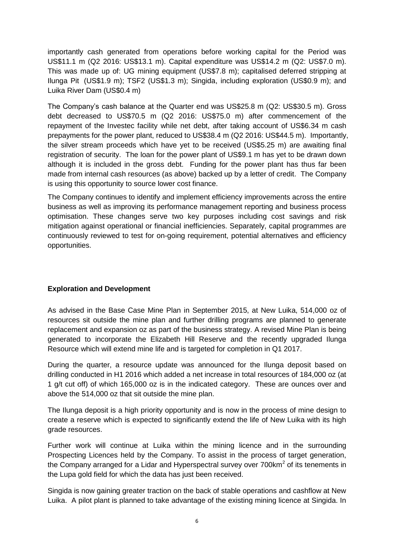importantly cash generated from operations before working capital for the Period was US\$11.1 m (Q2 2016: US\$13.1 m). Capital expenditure was US\$14.2 m (Q2: US\$7.0 m). This was made up of: UG mining equipment (US\$7.8 m); capitalised deferred stripping at Ilunga Pit (US\$1.9 m); TSF2 (US\$1.3 m); Singida, including exploration (US\$0.9 m); and Luika River Dam (US\$0.4 m)

The Company's cash balance at the Quarter end was US\$25.8 m (Q2: US\$30.5 m). Gross debt decreased to US\$70.5 m (Q2 2016: US\$75.0 m) after commencement of the repayment of the Investec facility while net debt, after taking account of US\$6.34 m cash prepayments for the power plant, reduced to US\$38.4 m (Q2 2016: US\$44.5 m). Importantly, the silver stream proceeds which have yet to be received (US\$5.25 m) are awaiting final registration of security. The loan for the power plant of US\$9.1 m has yet to be drawn down although it is included in the gross debt. Funding for the power plant has thus far been made from internal cash resources (as above) backed up by a letter of credit. The Company is using this opportunity to source lower cost finance.

The Company continues to identify and implement efficiency improvements across the entire business as well as improving its performance management reporting and business process optimisation. These changes serve two key purposes including cost savings and risk mitigation against operational or financial inefficiencies. Separately, capital programmes are continuously reviewed to test for on-going requirement, potential alternatives and efficiency opportunities.

## **Exploration and Development**

As advised in the Base Case Mine Plan in September 2015, at New Luika, 514,000 oz of resources sit outside the mine plan and further drilling programs are planned to generate replacement and expansion oz as part of the business strategy. A revised Mine Plan is being generated to incorporate the Elizabeth Hill Reserve and the recently upgraded Ilunga Resource which will extend mine life and is targeted for completion in Q1 2017.

During the quarter, a resource update was announced for the Ilunga deposit based on drilling conducted in H1 2016 which added a net increase in total resources of 184,000 oz (at 1 g/t cut off) of which 165,000 oz is in the indicated category. These are ounces over and above the 514,000 oz that sit outside the mine plan.

The Ilunga deposit is a high priority opportunity and is now in the process of mine design to create a reserve which is expected to significantly extend the life of New Luika with its high grade resources.

Further work will continue at Luika within the mining licence and in the surrounding Prospecting Licences held by the Company. To assist in the process of target generation, the Company arranged for a Lidar and Hyperspectral survey over 700km<sup>2</sup> of its tenements in the Lupa gold field for which the data has just been received.

Singida is now gaining greater traction on the back of stable operations and cashflow at New Luika. A pilot plant is planned to take advantage of the existing mining licence at Singida. In